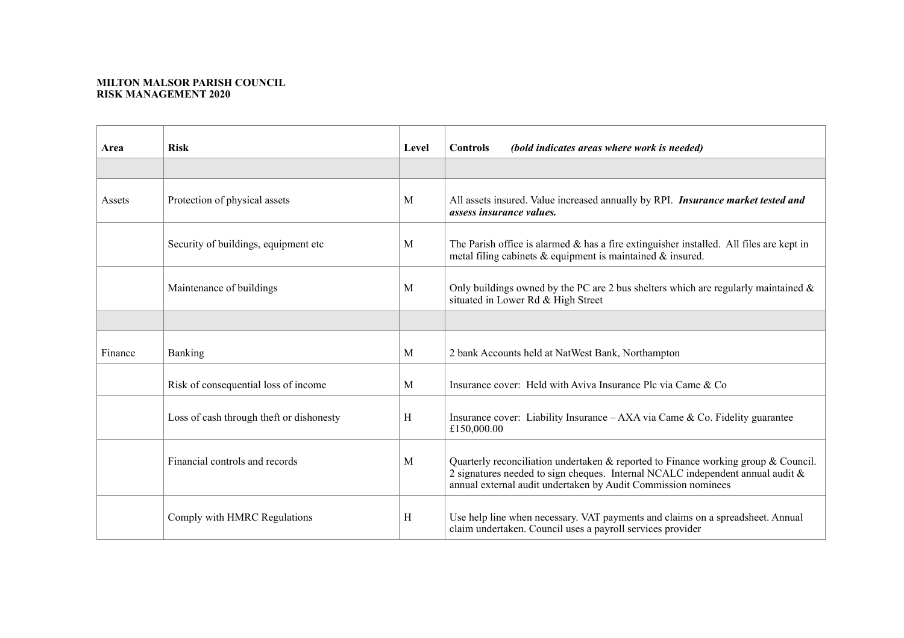## **MILTON MALSOR PARISH COUNCIL RISK MANAGEMENT 2020**

| Area    | <b>Risk</b>                              | Level | (bold indicates areas where work is needed)<br><b>Controls</b>                                                                                                                                                                           |
|---------|------------------------------------------|-------|------------------------------------------------------------------------------------------------------------------------------------------------------------------------------------------------------------------------------------------|
|         |                                          |       |                                                                                                                                                                                                                                          |
| Assets  | Protection of physical assets            | M     | All assets insured. Value increased annually by RPI. Insurance market tested and<br>assess insurance values.                                                                                                                             |
|         | Security of buildings, equipment etc.    | M     | The Parish office is alarmed $\&$ has a fire extinguisher installed. All files are kept in<br>metal filing cabinets $\&$ equipment is maintained $\&$ insured.                                                                           |
|         | Maintenance of buildings                 | M     | Only buildings owned by the PC are 2 bus shelters which are regularly maintained $\&$<br>situated in Lower Rd & High Street                                                                                                              |
|         |                                          |       |                                                                                                                                                                                                                                          |
| Finance | Banking                                  | M     | 2 bank Accounts held at NatWest Bank, Northampton                                                                                                                                                                                        |
|         | Risk of consequential loss of income     | M     | Insurance cover: Held with Aviva Insurance Plc via Came & Co                                                                                                                                                                             |
|         | Loss of cash through theft or dishonesty | H     | Insurance cover: Liability Insurance $-AXA$ via Came & Co. Fidelity guarantee<br>£150,000.00                                                                                                                                             |
|         | Financial controls and records           | M     | Quarterly reconciliation undertaken & reported to Finance working group & Council.<br>2 signatures needed to sign cheques. Internal NCALC independent annual audit $\&$<br>annual external audit undertaken by Audit Commission nominees |
|         | Comply with HMRC Regulations             | H     | Use help line when necessary. VAT payments and claims on a spreadsheet. Annual<br>claim undertaken. Council uses a payroll services provider                                                                                             |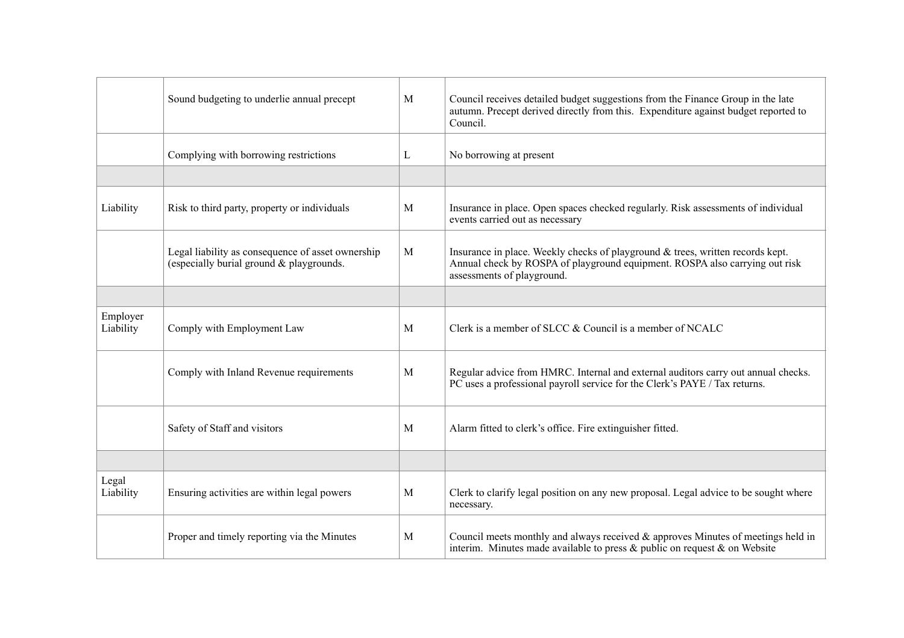|                       | Sound budgeting to underlie annual precept                                                    | M | Council receives detailed budget suggestions from the Finance Group in the late<br>autumn. Precept derived directly from this. Expenditure against budget reported to<br>Council.           |
|-----------------------|-----------------------------------------------------------------------------------------------|---|---------------------------------------------------------------------------------------------------------------------------------------------------------------------------------------------|
|                       | Complying with borrowing restrictions                                                         | L | No borrowing at present                                                                                                                                                                     |
|                       |                                                                                               |   |                                                                                                                                                                                             |
| Liability             | Risk to third party, property or individuals                                                  | M | Insurance in place. Open spaces checked regularly. Risk assessments of individual<br>events carried out as necessary                                                                        |
|                       | Legal liability as consequence of asset ownership<br>(especially burial ground & playgrounds. | M | Insurance in place. Weekly checks of playground & trees, written records kept.<br>Annual check by ROSPA of playground equipment. ROSPA also carrying out risk<br>assessments of playground. |
|                       |                                                                                               |   |                                                                                                                                                                                             |
| Employer<br>Liability | Comply with Employment Law                                                                    | M | Clerk is a member of SLCC & Council is a member of NCALC                                                                                                                                    |
|                       | Comply with Inland Revenue requirements                                                       | M | Regular advice from HMRC. Internal and external auditors carry out annual checks.<br>PC uses a professional payroll service for the Clerk's PAYE / Tax returns.                             |
|                       | Safety of Staff and visitors                                                                  | M | Alarm fitted to clerk's office. Fire extinguisher fitted.                                                                                                                                   |
|                       |                                                                                               |   |                                                                                                                                                                                             |
| Legal<br>Liability    | Ensuring activities are within legal powers                                                   | M | Clerk to clarify legal position on any new proposal. Legal advice to be sought where<br>necessary.                                                                                          |
|                       | Proper and timely reporting via the Minutes                                                   | M | Council meets monthly and always received $\&$ approves Minutes of meetings held in<br>interim. Minutes made available to press $\&$ public on request $\&$ on Website                      |